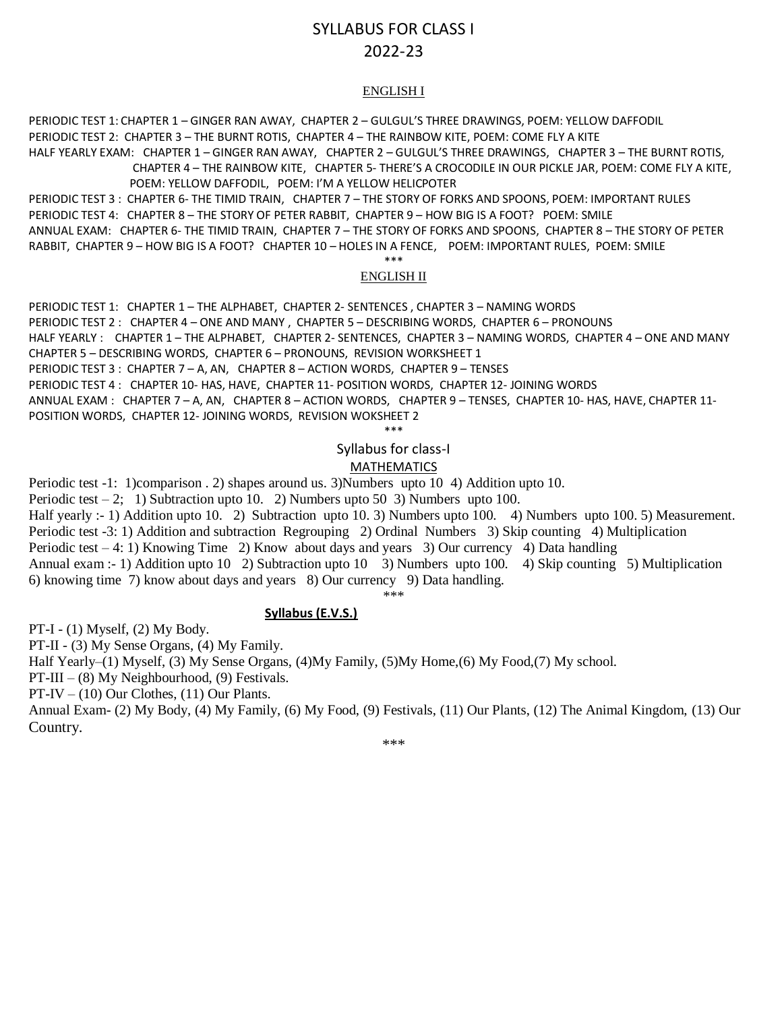# SYLLABUS FOR CLASS I 2022-23

#### ENGLISH I

PERIODIC TEST 1: CHAPTER 1 – GINGER RAN AWAY, CHAPTER 2 – GULGUL'S THREE DRAWINGS, POEM: YELLOW DAFFODIL PERIODIC TEST 2: CHAPTER 3 – THE BURNT ROTIS, CHAPTER 4 – THE RAINBOW KITE, POEM: COME FLY A KITE HALF YEARLY EXAM: CHAPTER 1 – GINGER RAN AWAY, CHAPTER 2 – GULGUL'S THREE DRAWINGS, CHAPTER 3 – THE BURNT ROTIS,

 CHAPTER 4 – THE RAINBOW KITE, CHAPTER 5- THERE'S A CROCODILE IN OUR PICKLE JAR, POEM: COME FLY A KITE, POEM: YELLOW DAFFODIL, POEM: I'M A YELLOW HELICPOTER

PERIODIC TEST 3 : CHAPTER 6- THE TIMID TRAIN, CHAPTER 7 – THE STORY OF FORKS AND SPOONS, POEM: IMPORTANT RULES PERIODIC TEST 4: CHAPTER 8 – THE STORY OF PETER RABBIT, CHAPTER 9 – HOW BIG IS A FOOT? POEM: SMILE ANNUAL EXAM: CHAPTER 6- THE TIMID TRAIN, CHAPTER 7 – THE STORY OF FORKS AND SPOONS, CHAPTER 8 – THE STORY OF PETER RABBIT, CHAPTER 9 – HOW BIG IS A FOOT? CHAPTER 10 – HOLES IN A FENCE, POEM: IMPORTANT RULES, POEM: SMILE \*\*\*

#### ENGLISH II

PERIODIC TEST 1: CHAPTER 1 – THE ALPHABET, CHAPTER 2- SENTENCES , CHAPTER 3 – NAMING WORDS PERIODIC TEST 2 : CHAPTER 4 – ONE AND MANY , CHAPTER 5 – DESCRIBING WORDS, CHAPTER 6 – PRONOUNS HALF YEARLY : CHAPTER 1 – THE ALPHABET, CHAPTER 2- SENTENCES, CHAPTER 3 – NAMING WORDS, CHAPTER 4 – ONE AND MANY CHAPTER 5 – DESCRIBING WORDS, CHAPTER 6 – PRONOUNS, REVISION WORKSHEET 1 PERIODIC TEST 3 : CHAPTER 7 – A, AN, CHAPTER 8 – ACTION WORDS, CHAPTER 9 – TENSES PERIODIC TEST 4 : CHAPTER 10- HAS, HAVE, CHAPTER 11- POSITION WORDS, CHAPTER 12- JOINING WORDS ANNUAL EXAM : CHAPTER 7 – A, AN, CHAPTER 8 – ACTION WORDS, CHAPTER 9 – TENSES, CHAPTER 10- HAS, HAVE, CHAPTER 11- POSITION WORDS, CHAPTER 12- JOINING WORDS, REVISION WOKSHEET 2

\*\*\*

## Syllabus for class-I

## MATHEMATICS

Periodic test -1: 1)comparison . 2) shapes around us. 3)Numbers upto 10 4) Addition upto 10.

Periodic test  $-2$ ; 1) Subtraction upto 10. 2) Numbers upto 50 3) Numbers upto 100.

Half yearly :- 1) Addition upto 10. 2) Subtraction upto 10. 3) Numbers upto 100. 4) Numbers upto 100. 5) Measurement. Periodic test -3: 1) Addition and subtraction Regrouping 2) Ordinal Numbers 3) Skip counting 4) Multiplication Periodic test – 4: 1) Knowing Time 2) Know about days and years 3) Our currency 4) Data handling Annual exam :- 1) Addition upto 10 2) Subtraction upto 10 3) Numbers upto 100. 4) Skip counting 5) Multiplication 6) knowing time 7) know about days and years 8) Our currency 9) Data handling.

\*\*\*

#### **Syllabus (E.V.S.)**

PT-I - (1) Myself, (2) My Body.

PT-II - (3) My Sense Organs, (4) My Family.

Half Yearly–(1) Myself, (3) My Sense Organs, (4)My Family, (5)My Home,(6) My Food,(7) My school.

PT-III – (8) My Neighbourhood, (9) Festivals.

PT-IV – (10) Our Clothes, (11) Our Plants.

Annual Exam- (2) My Body, (4) My Family, (6) My Food, (9) Festivals, (11) Our Plants, (12) The Animal Kingdom, (13) Our Country.

\*\*\*